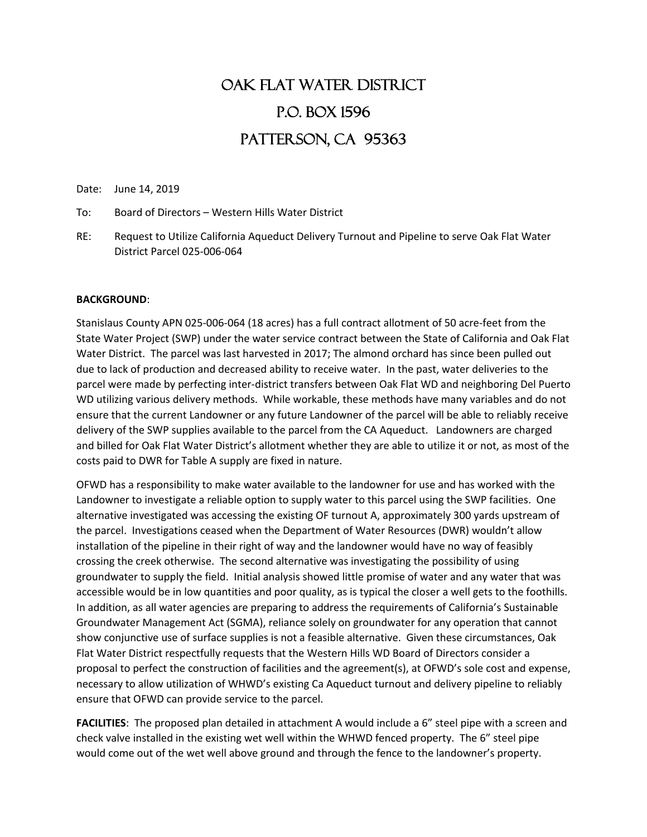## OAK FLAT WATER DISTRICT P.O. Box 1596 PATTERSON, CA 95363

Date: June 14, 2019

To: Board of Directors – Western Hills Water District

RE: Request to Utilize California Aqueduct Delivery Turnout and Pipeline to serve Oak Flat Water District Parcel 025-006-064

## **BACKGROUND**:

Stanislaus County APN 025-006-064 (18 acres) has a full contract allotment of 50 acre-feet from the State Water Project (SWP) under the water service contract between the State of California and Oak Flat Water District. The parcel was last harvested in 2017; The almond orchard has since been pulled out due to lack of production and decreased ability to receive water. In the past, water deliveries to the parcel were made by perfecting inter-district transfers between Oak Flat WD and neighboring Del Puerto WD utilizing various delivery methods. While workable, these methods have many variables and do not ensure that the current Landowner or any future Landowner of the parcel will be able to reliably receive delivery of the SWP supplies available to the parcel from the CA Aqueduct. Landowners are charged and billed for Oak Flat Water District's allotment whether they are able to utilize it or not, as most of the costs paid to DWR for Table A supply are fixed in nature.

OFWD has a responsibility to make water available to the landowner for use and has worked with the Landowner to investigate a reliable option to supply water to this parcel using the SWP facilities. One alternative investigated was accessing the existing OF turnout A, approximately 300 yards upstream of the parcel. Investigations ceased when the Department of Water Resources (DWR) wouldn't allow installation of the pipeline in their right of way and the landowner would have no way of feasibly crossing the creek otherwise. The second alternative was investigating the possibility of using groundwater to supply the field. Initial analysis showed little promise of water and any water that was accessible would be in low quantities and poor quality, as is typical the closer a well gets to the foothills. In addition, as all water agencies are preparing to address the requirements of California's Sustainable Groundwater Management Act (SGMA), reliance solely on groundwater for any operation that cannot show conjunctive use of surface supplies is not a feasible alternative. Given these circumstances, Oak Flat Water District respectfully requests that the Western Hills WD Board of Directors consider a proposal to perfect the construction of facilities and the agreement(s), at OFWD's sole cost and expense, necessary to allow utilization of WHWD's existing Ca Aqueduct turnout and delivery pipeline to reliably ensure that OFWD can provide service to the parcel.

**FACILITIES**: The proposed plan detailed in attachment A would include a 6" steel pipe with a screen and check valve installed in the existing wet well within the WHWD fenced property. The 6" steel pipe would come out of the wet well above ground and through the fence to the landowner's property.